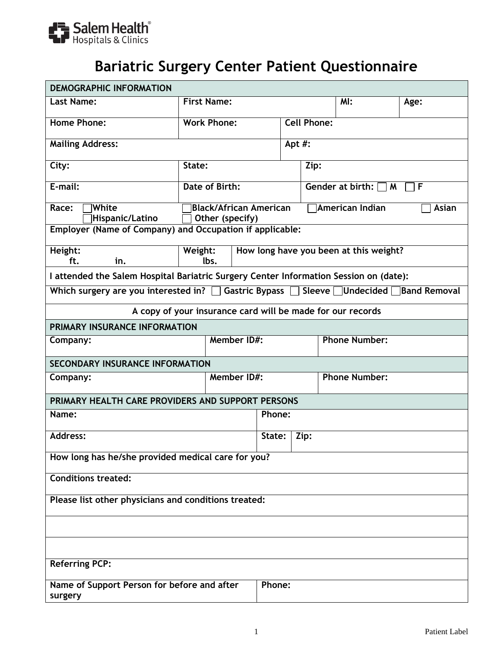

## **Bariatric Surgery Center Patient Questionnaire**

| <b>DEMOGRAPHIC INFORMATION</b>                                                                                |                                                            |        |                                 |                          |                                        |      |  |
|---------------------------------------------------------------------------------------------------------------|------------------------------------------------------------|--------|---------------------------------|--------------------------|----------------------------------------|------|--|
| <b>Last Name:</b>                                                                                             | <b>First Name:</b>                                         |        | M:                              |                          |                                        | Age: |  |
| <b>Home Phone:</b>                                                                                            | <b>Work Phone:</b>                                         |        | <b>Cell Phone:</b>              |                          |                                        |      |  |
| <b>Mailing Address:</b>                                                                                       |                                                            |        | Apt #:                          |                          |                                        |      |  |
| City:                                                                                                         | State:                                                     |        | Zip:                            |                          |                                        |      |  |
| E-mail:                                                                                                       | Date of Birth:                                             |        | Gender at birth: $\Box$ M<br>ヿF |                          |                                        |      |  |
| <b>White</b><br>Race:<br>Hispanic/Latino<br>Employer (Name of Company) and Occupation if applicable:          | <b>Black/African American</b><br>Other (specify)           |        |                                 | American Indian<br>Asian |                                        |      |  |
|                                                                                                               |                                                            |        |                                 |                          |                                        |      |  |
| Height:<br>ft.<br>in.                                                                                         | Weight:<br>lbs.                                            |        |                                 |                          | How long have you been at this weight? |      |  |
| I attended the Salem Hospital Bariatric Surgery Center Information Session on (date):                         |                                                            |        |                                 |                          |                                        |      |  |
| Which surgery are you interested in? $\Box$ Gastric Bypass $\Box$ Sleeve $\Box$ Undecided $\Box$ Band Removal |                                                            |        |                                 |                          |                                        |      |  |
|                                                                                                               | A copy of your insurance card will be made for our records |        |                                 |                          |                                        |      |  |
| PRIMARY INSURANCE INFORMATION                                                                                 |                                                            |        |                                 |                          |                                        |      |  |
| Company:                                                                                                      | <b>Member ID#:</b>                                         |        |                                 |                          | <b>Phone Number:</b>                   |      |  |
| <b>SECONDARY INSURANCE INFORMATION</b>                                                                        |                                                            |        |                                 |                          |                                        |      |  |
| Company:                                                                                                      | <b>Member ID#:</b>                                         |        |                                 |                          | <b>Phone Number:</b>                   |      |  |
| PRIMARY HEALTH CARE PROVIDERS AND SUPPORT PERSONS                                                             |                                                            |        |                                 |                          |                                        |      |  |
| Name:                                                                                                         |                                                            | Phone: |                                 |                          |                                        |      |  |
| <b>Address:</b>                                                                                               |                                                            | State: | Zip:                            |                          |                                        |      |  |
| How long has he/she provided medical care for you?                                                            |                                                            |        |                                 |                          |                                        |      |  |
| <b>Conditions treated:</b>                                                                                    |                                                            |        |                                 |                          |                                        |      |  |
| Please list other physicians and conditions treated:                                                          |                                                            |        |                                 |                          |                                        |      |  |
|                                                                                                               |                                                            |        |                                 |                          |                                        |      |  |
|                                                                                                               |                                                            |        |                                 |                          |                                        |      |  |
| <b>Referring PCP:</b>                                                                                         |                                                            |        |                                 |                          |                                        |      |  |
| Name of Support Person for before and after<br>surgery                                                        | Phone:                                                     |        |                                 |                          |                                        |      |  |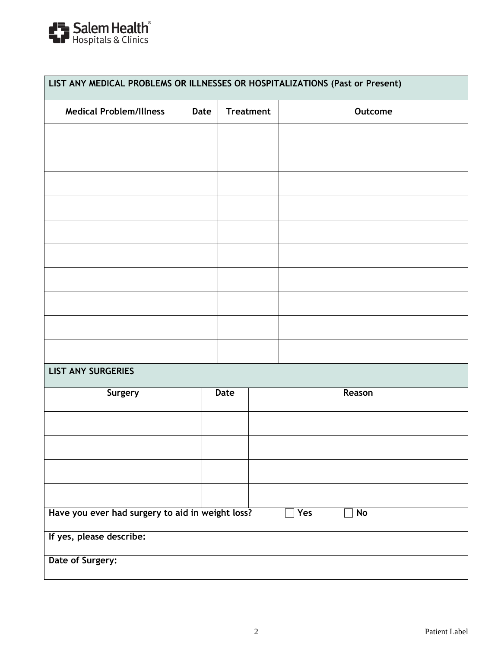

| LIST ANY MEDICAL PROBLEMS OR ILLNESSES OR HOSPITALIZATIONS (Past or Present) |      |                  |  |           |  |  |
|------------------------------------------------------------------------------|------|------------------|--|-----------|--|--|
| <b>Medical Problem/Illness</b>                                               | Date | <b>Treatment</b> |  | Outcome   |  |  |
|                                                                              |      |                  |  |           |  |  |
|                                                                              |      |                  |  |           |  |  |
|                                                                              |      |                  |  |           |  |  |
|                                                                              |      |                  |  |           |  |  |
|                                                                              |      |                  |  |           |  |  |
|                                                                              |      |                  |  |           |  |  |
|                                                                              |      |                  |  |           |  |  |
|                                                                              |      |                  |  |           |  |  |
|                                                                              |      |                  |  |           |  |  |
|                                                                              |      |                  |  |           |  |  |
| <b>LIST ANY SURGERIES</b>                                                    |      |                  |  |           |  |  |
| Surgery                                                                      |      | Date             |  | Reason    |  |  |
|                                                                              |      |                  |  |           |  |  |
|                                                                              |      |                  |  |           |  |  |
|                                                                              |      |                  |  |           |  |  |
|                                                                              |      |                  |  |           |  |  |
| Have you ever had surgery to aid in weight loss?                             |      |                  |  | No<br>Yes |  |  |
| If yes, please describe:                                                     |      |                  |  |           |  |  |
| Date of Surgery:                                                             |      |                  |  |           |  |  |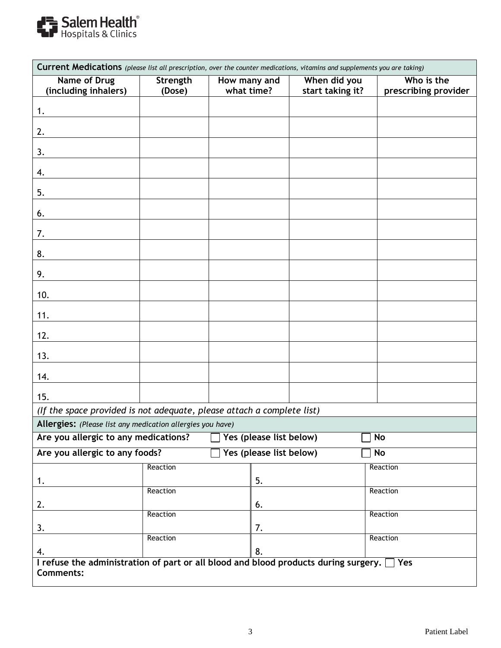

| Current Medications (please list all prescription, over the counter medications, vitamins and supplements you are taking) |          |              |                         |                  |                      |
|---------------------------------------------------------------------------------------------------------------------------|----------|--------------|-------------------------|------------------|----------------------|
| Name of Drug                                                                                                              | Strength | How many and |                         | When did you     | Who is the           |
| (including inhalers)                                                                                                      | (Dose)   | what time?   |                         | start taking it? | prescribing provider |
| 1.                                                                                                                        |          |              |                         |                  |                      |
| 2.                                                                                                                        |          |              |                         |                  |                      |
| 3.                                                                                                                        |          |              |                         |                  |                      |
| 4.                                                                                                                        |          |              |                         |                  |                      |
| 5.                                                                                                                        |          |              |                         |                  |                      |
|                                                                                                                           |          |              |                         |                  |                      |
| 6.                                                                                                                        |          |              |                         |                  |                      |
| 7.                                                                                                                        |          |              |                         |                  |                      |
| 8.                                                                                                                        |          |              |                         |                  |                      |
| 9.                                                                                                                        |          |              |                         |                  |                      |
| 10.                                                                                                                       |          |              |                         |                  |                      |
| 11.                                                                                                                       |          |              |                         |                  |                      |
| 12.                                                                                                                       |          |              |                         |                  |                      |
| 13.                                                                                                                       |          |              |                         |                  |                      |
| 14.                                                                                                                       |          |              |                         |                  |                      |
| 15.                                                                                                                       |          |              |                         |                  |                      |
| (If the space provided is not adequate, please attach a complete list)                                                    |          |              |                         |                  |                      |
| Allergies: (Please list any medication allergies you have)                                                                |          |              |                         |                  |                      |
| Are you allergic to any medications?                                                                                      |          |              | Yes (please list below) |                  | No                   |
| Are you allergic to any foods?                                                                                            |          |              | Yes (please list below) |                  | No                   |
|                                                                                                                           | Reaction |              |                         |                  | Reaction             |
| 1.                                                                                                                        | Reaction |              | 5.                      |                  | Reaction             |
| 2.                                                                                                                        |          |              | 6.                      |                  |                      |
|                                                                                                                           | Reaction |              |                         |                  | Reaction             |
| 3.                                                                                                                        | Reaction |              | 7.                      |                  | Reaction             |
| 4.                                                                                                                        |          |              | 8.                      |                  |                      |
| I refuse the administration of part or all blood and blood products during surgery. $\Box$ Yes                            |          |              |                         |                  |                      |
| <b>Comments:</b>                                                                                                          |          |              |                         |                  |                      |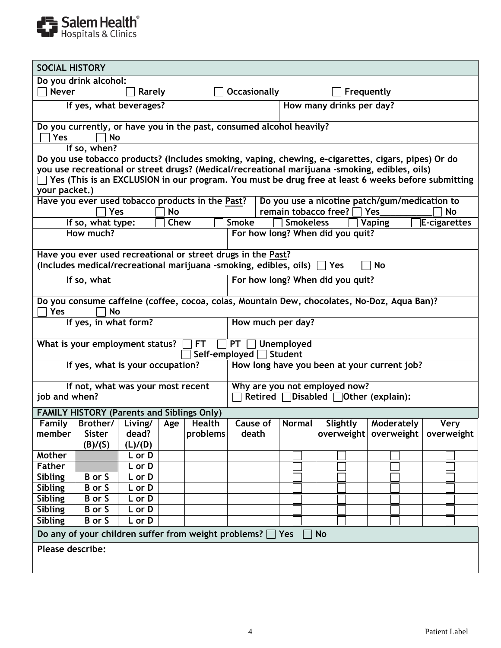

| <b>SOCIAL HISTORY</b>                                                                    |                                                         |         |      |               |                                                                                                     |                  |                                  |                                                      |  |              |  |
|------------------------------------------------------------------------------------------|---------------------------------------------------------|---------|------|---------------|-----------------------------------------------------------------------------------------------------|------------------|----------------------------------|------------------------------------------------------|--|--------------|--|
|                                                                                          | Do you drink alcohol:                                   |         |      |               |                                                                                                     |                  |                                  |                                                      |  |              |  |
| <b>Never</b>                                                                             |                                                         | Rarely  |      |               | <b>Occasionally</b>                                                                                 | Frequently       |                                  |                                                      |  |              |  |
|                                                                                          | If yes, what beverages?                                 |         |      |               |                                                                                                     |                  | How many drinks per day?         |                                                      |  |              |  |
| Do you currently, or have you in the past, consumed alcohol heavily?<br><b>Yes</b><br>No |                                                         |         |      |               |                                                                                                     |                  |                                  |                                                      |  |              |  |
|                                                                                          | If so, when?                                            |         |      |               |                                                                                                     |                  |                                  |                                                      |  |              |  |
|                                                                                          |                                                         |         |      |               | Do you use tobacco products? (Includes smoking, vaping, chewing, e-cigarettes, cigars, pipes) Or do |                  |                                  |                                                      |  |              |  |
|                                                                                          |                                                         |         |      |               | you use recreational or street drugs? (Medical/recreational marijuana -smoking, edibles, oils)      |                  |                                  |                                                      |  |              |  |
|                                                                                          |                                                         |         |      |               | Yes (This is an EXCLUSION in our program. You must be drug free at least 6 weeks before submitting  |                  |                                  |                                                      |  |              |  |
| your packet.)                                                                            |                                                         |         |      |               |                                                                                                     |                  |                                  |                                                      |  |              |  |
|                                                                                          | Have you ever used tobacco products in the Past?<br>Yes |         | No   |               |                                                                                                     |                  | remain tobacco free? [           | Do you use a nicotine patch/gum/medication to<br>Yes |  | No           |  |
|                                                                                          | If so, what type:                                       |         | Chew |               | <b>Smoke</b>                                                                                        | <b>Smokeless</b> |                                  | Vaping                                               |  | E-cigarettes |  |
|                                                                                          | How much?                                               |         |      |               |                                                                                                     |                  | For how long? When did you quit? |                                                      |  |              |  |
|                                                                                          |                                                         |         |      |               |                                                                                                     |                  |                                  |                                                      |  |              |  |
|                                                                                          |                                                         |         |      |               | Have you ever used recreational or street drugs in the Past?                                        |                  |                                  |                                                      |  |              |  |
|                                                                                          |                                                         |         |      |               | (Includes medical/recreational marijuana -smoking, edibles, oils) $\Box$ Yes                        |                  |                                  | No                                                   |  |              |  |
|                                                                                          | If so, what                                             |         |      |               |                                                                                                     |                  | For how long? When did you quit? |                                                      |  |              |  |
| <b>Yes</b>                                                                               | No                                                      |         |      |               | Do you consume caffeine (coffee, cocoa, colas, Mountain Dew, chocolates, No-Doz, Aqua Ban)?         |                  |                                  |                                                      |  |              |  |
|                                                                                          | If yes, in what form?                                   |         |      |               | How much per day?                                                                                   |                  |                                  |                                                      |  |              |  |
| What is your employment status?<br><b>PT</b><br><b>Unemployed</b><br><b>FT</b>           |                                                         |         |      |               |                                                                                                     |                  |                                  |                                                      |  |              |  |
|                                                                                          |                                                         |         |      | Self-employed |                                                                                                     | <b>Student</b>   |                                  |                                                      |  |              |  |
|                                                                                          | If yes, what is your occupation?                        |         |      |               |                                                                                                     |                  |                                  | How long have you been at your current job?          |  |              |  |
|                                                                                          | If not, what was your most recent                       |         |      |               |                                                                                                     |                  | Why are you not employed now?    |                                                      |  |              |  |
| job and when?                                                                            |                                                         |         |      |               |                                                                                                     |                  |                                  | Retired <b>Oisabled Other</b> (explain):             |  |              |  |
|                                                                                          | <b>FAMILY HISTORY (Parents and Siblings Only)</b>       |         |      |               |                                                                                                     |                  |                                  |                                                      |  |              |  |
| Family                                                                                   | Brother/                                                | Living/ | Age  | Health        | Cause of                                                                                            | Normal           | Slightly                         | Moderately                                           |  | Very         |  |
| member                                                                                   | <b>Sister</b>                                           | dead?   |      | problems      | death                                                                                               |                  |                                  | overweight   overweight   overweight                 |  |              |  |
|                                                                                          | (B)/(S)                                                 | (L)/(D) |      |               |                                                                                                     |                  |                                  |                                                      |  |              |  |
| Mother                                                                                   |                                                         | L or D  |      |               |                                                                                                     |                  |                                  |                                                      |  |              |  |
| Father                                                                                   |                                                         | L or D  |      |               |                                                                                                     |                  |                                  |                                                      |  |              |  |
| <b>Sibling</b>                                                                           | B or S                                                  | L or D  |      |               |                                                                                                     |                  |                                  |                                                      |  |              |  |
| <b>Sibling</b>                                                                           | <b>B</b> or S                                           | L or D  |      |               |                                                                                                     |                  |                                  |                                                      |  |              |  |
| <b>Sibling</b>                                                                           | B or S                                                  | L or D  |      |               |                                                                                                     |                  |                                  |                                                      |  |              |  |
| <b>Sibling</b>                                                                           | $\overline{B}$ or S                                     | L or D  |      |               |                                                                                                     |                  |                                  |                                                      |  |              |  |
| Sibling                                                                                  | B or S                                                  | L or D  |      |               |                                                                                                     |                  |                                  |                                                      |  |              |  |
|                                                                                          |                                                         |         |      |               | Do any of your children suffer from weight problems? $\Box$ Yes                                     |                  | <b>No</b>                        |                                                      |  |              |  |
| Please describe:                                                                         |                                                         |         |      |               |                                                                                                     |                  |                                  |                                                      |  |              |  |
|                                                                                          |                                                         |         |      |               |                                                                                                     |                  |                                  |                                                      |  |              |  |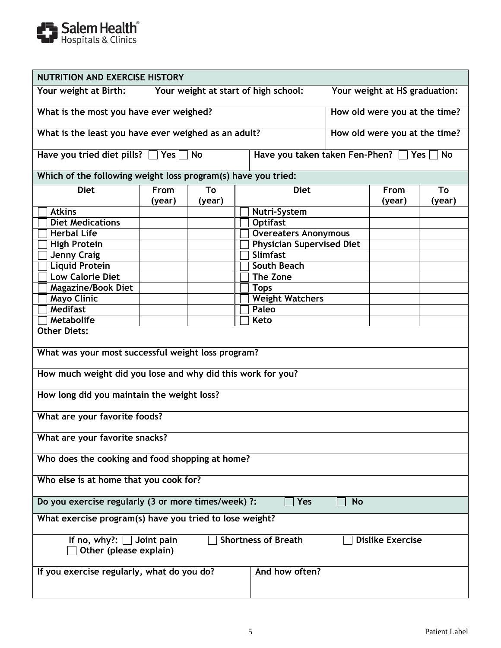

| <b>NUTRITION AND EXERCISE HISTORY</b>                                                                             |        |        |  |                                           |                               |        |        |
|-------------------------------------------------------------------------------------------------------------------|--------|--------|--|-------------------------------------------|-------------------------------|--------|--------|
| Your weight at Birth:<br>Your weight at start of high school:<br>Your weight at HS graduation:                    |        |        |  |                                           |                               |        |        |
| What is the most you have ever weighed?                                                                           |        |        |  |                                           | How old were you at the time? |        |        |
| What is the least you have ever weighed as an adult?                                                              |        |        |  |                                           | How old were you at the time? |        |        |
| Have you tried diet pills? $\Box$ Yes $\Box$                                                                      |        | No     |  | Have you taken taken Fen-Phen? 7 Yes 7 No |                               |        |        |
| Which of the following weight loss program(s) have you tried:                                                     |        |        |  |                                           |                               |        |        |
| <b>Diet</b>                                                                                                       | From   | To     |  | <b>Diet</b>                               |                               | From   | To     |
|                                                                                                                   | (year) | (year) |  |                                           |                               | (year) | (year) |
| <b>Atkins</b>                                                                                                     |        |        |  | Nutri-System                              |                               |        |        |
| <b>Diet Medications</b>                                                                                           |        |        |  | <b>Optifast</b>                           |                               |        |        |
| <b>Herbal Life</b>                                                                                                |        |        |  | <b>Overeaters Anonymous</b>               |                               |        |        |
| <b>High Protein</b>                                                                                               |        |        |  | <b>Physician Supervised Diet</b>          |                               |        |        |
| <b>Jenny Craig</b>                                                                                                |        |        |  | Slimfast<br>South Beach                   |                               |        |        |
| <b>Liquid Protein</b><br><b>Low Calorie Diet</b>                                                                  |        |        |  | <b>The Zone</b>                           |                               |        |        |
| <b>Magazine/Book Diet</b>                                                                                         |        |        |  | <b>Tops</b>                               |                               |        |        |
| <b>Mayo Clinic</b>                                                                                                |        |        |  | <b>Weight Watchers</b>                    |                               |        |        |
| <b>Medifast</b>                                                                                                   |        |        |  | Paleo                                     |                               |        |        |
| Metabolife                                                                                                        |        |        |  | Keto                                      |                               |        |        |
| <b>Other Diets:</b>                                                                                               |        |        |  |                                           |                               |        |        |
|                                                                                                                   |        |        |  |                                           |                               |        |        |
| What was your most successful weight loss program?                                                                |        |        |  |                                           |                               |        |        |
|                                                                                                                   |        |        |  |                                           |                               |        |        |
| How much weight did you lose and why did this work for you?                                                       |        |        |  |                                           |                               |        |        |
| How long did you maintain the weight loss?                                                                        |        |        |  |                                           |                               |        |        |
| What are your favorite foods?                                                                                     |        |        |  |                                           |                               |        |        |
| What are your favorite snacks?                                                                                    |        |        |  |                                           |                               |        |        |
| Who does the cooking and food shopping at home?                                                                   |        |        |  |                                           |                               |        |        |
| Who else is at home that you cook for?                                                                            |        |        |  |                                           |                               |        |        |
| Do you exercise regularly (3 or more times/week) ?:                                                               |        |        |  | Yes                                       | <b>No</b>                     |        |        |
| What exercise program(s) have you tried to lose weight?                                                           |        |        |  |                                           |                               |        |        |
|                                                                                                                   |        |        |  |                                           |                               |        |        |
| <b>Shortness of Breath</b><br><b>Dislike Exercise</b><br>If no, why?: $\Box$ Joint pain<br>Other (please explain) |        |        |  |                                           |                               |        |        |
| If you exercise regularly, what do you do?                                                                        |        |        |  | And how often?                            |                               |        |        |
|                                                                                                                   |        |        |  |                                           |                               |        |        |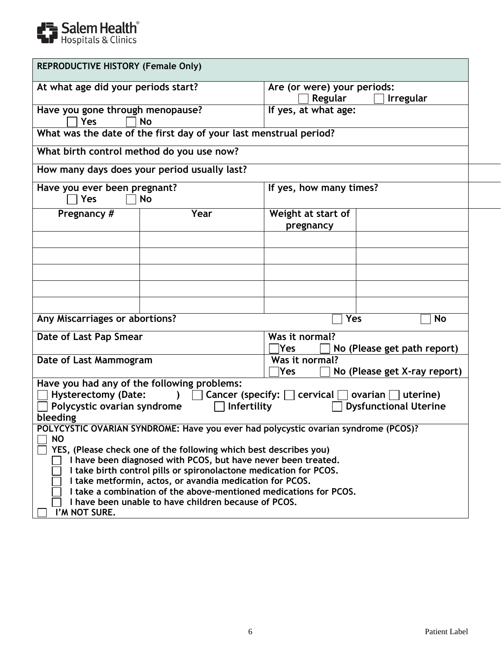

| <b>REPRODUCTIVE HISTORY (Female Only)</b> |                                                                                    |                                                                          |                              |  |  |  |
|-------------------------------------------|------------------------------------------------------------------------------------|--------------------------------------------------------------------------|------------------------------|--|--|--|
| At what age did your periods start?       |                                                                                    | Are (or were) your periods:                                              |                              |  |  |  |
|                                           |                                                                                    | Regular                                                                  | <b>Irregular</b>             |  |  |  |
| Have you gone through menopause?          |                                                                                    | If yes, at what age:                                                     |                              |  |  |  |
| Yes                                       | <b>No</b>                                                                          |                                                                          |                              |  |  |  |
|                                           | What was the date of the first day of your last menstrual period?                  |                                                                          |                              |  |  |  |
| What birth control method do you use now? |                                                                                    |                                                                          |                              |  |  |  |
|                                           | How many days does your period usually last?                                       |                                                                          |                              |  |  |  |
| Have you ever been pregnant?              |                                                                                    | If yes, how many times?                                                  |                              |  |  |  |
| Yes                                       | <b>No</b>                                                                          |                                                                          |                              |  |  |  |
| Pregnancy #                               | Year                                                                               | Weight at start of<br>pregnancy                                          |                              |  |  |  |
|                                           |                                                                                    |                                                                          |                              |  |  |  |
|                                           |                                                                                    |                                                                          |                              |  |  |  |
|                                           |                                                                                    |                                                                          |                              |  |  |  |
|                                           |                                                                                    |                                                                          |                              |  |  |  |
|                                           |                                                                                    |                                                                          |                              |  |  |  |
| Any Miscarriages or abortions?            |                                                                                    | Yes                                                                      | No                           |  |  |  |
| Date of Last Pap Smear                    |                                                                                    | Was it normal?                                                           |                              |  |  |  |
|                                           |                                                                                    | <b>Yes</b>                                                               | No (Please get path report)  |  |  |  |
| Date of Last Mammogram                    |                                                                                    | Was it normal?                                                           |                              |  |  |  |
|                                           |                                                                                    | Yes                                                                      | No (Please get X-ray report) |  |  |  |
|                                           | Have you had any of the following problems:                                        |                                                                          |                              |  |  |  |
| <b>Hysterectomy (Date:</b>                |                                                                                    | ) $\Box$ Cancer (specify: $\Box$ cervical $\Box$ ovarian $\Box$ uterine) |                              |  |  |  |
| Polycystic ovarian syndrome               | <b>Infertility</b>                                                                 |                                                                          | <b>Dysfunctional Uterine</b> |  |  |  |
| bleeding                                  |                                                                                    |                                                                          |                              |  |  |  |
|                                           | POLYCYSTIC OVARIAN SYNDROME: Have you ever had polycystic ovarian syndrome (PCOS)? |                                                                          |                              |  |  |  |
| <b>NO</b>                                 | YES, (Please check one of the following which best describes you)                  |                                                                          |                              |  |  |  |
|                                           | I have been diagnosed with PCOS, but have never been treated.                      |                                                                          |                              |  |  |  |
|                                           | I take birth control pills or spironolactone medication for PCOS.                  |                                                                          |                              |  |  |  |
|                                           | I take metformin, actos, or avandia medication for PCOS.                           |                                                                          |                              |  |  |  |
|                                           | I take a combination of the above-mentioned medications for PCOS.                  |                                                                          |                              |  |  |  |
|                                           | I have been unable to have children because of PCOS.                               |                                                                          |                              |  |  |  |
| I'M NOT SURE.                             |                                                                                    |                                                                          |                              |  |  |  |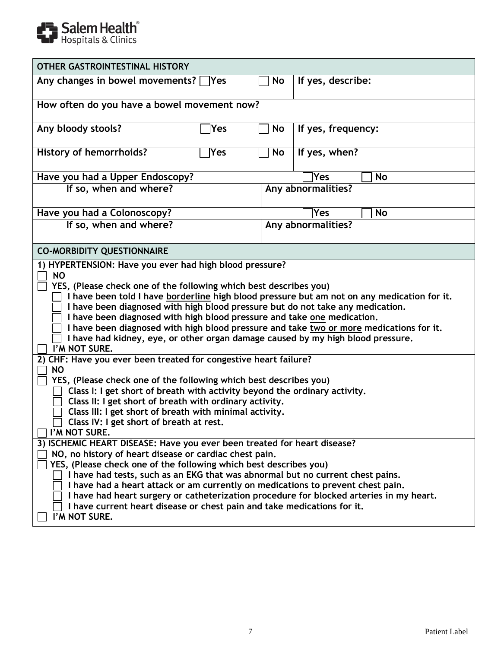

| <b>OTHER GASTROINTESTINAL HISTORY</b>                                                                                                                                                                                                                                                                                                                                                                                                                                                                                                                                                                         |                                             |                    |  |  |  |  |  |  |
|---------------------------------------------------------------------------------------------------------------------------------------------------------------------------------------------------------------------------------------------------------------------------------------------------------------------------------------------------------------------------------------------------------------------------------------------------------------------------------------------------------------------------------------------------------------------------------------------------------------|---------------------------------------------|--------------------|--|--|--|--|--|--|
| Any changes in bowel movements?<br><b>Yes</b>                                                                                                                                                                                                                                                                                                                                                                                                                                                                                                                                                                 | No                                          | If yes, describe:  |  |  |  |  |  |  |
|                                                                                                                                                                                                                                                                                                                                                                                                                                                                                                                                                                                                               | How often do you have a bowel movement now? |                    |  |  |  |  |  |  |
| Any bloody stools?<br>Yes                                                                                                                                                                                                                                                                                                                                                                                                                                                                                                                                                                                     | No                                          | If yes, frequency: |  |  |  |  |  |  |
| <b>History of hemorrhoids?</b><br>Yes                                                                                                                                                                                                                                                                                                                                                                                                                                                                                                                                                                         | No                                          | If yes, when?      |  |  |  |  |  |  |
| Have you had a Upper Endoscopy?                                                                                                                                                                                                                                                                                                                                                                                                                                                                                                                                                                               |                                             | Yes<br>No          |  |  |  |  |  |  |
| If so, when and where?                                                                                                                                                                                                                                                                                                                                                                                                                                                                                                                                                                                        |                                             | Any abnormalities? |  |  |  |  |  |  |
| Have you had a Colonoscopy?                                                                                                                                                                                                                                                                                                                                                                                                                                                                                                                                                                                   |                                             | <b>No</b><br>Yes   |  |  |  |  |  |  |
| If so, when and where?                                                                                                                                                                                                                                                                                                                                                                                                                                                                                                                                                                                        |                                             | Any abnormalities? |  |  |  |  |  |  |
| <b>CO-MORBIDITY QUESTIONNAIRE</b>                                                                                                                                                                                                                                                                                                                                                                                                                                                                                                                                                                             |                                             |                    |  |  |  |  |  |  |
| <b>NO</b><br>YES, (Please check one of the following which best describes you)<br>I have been told I have borderline high blood pressure but am not on any medication for it.<br>I have been diagnosed with high blood pressure but do not take any medication.<br>I have been diagnosed with high blood pressure and take one medication.<br>I have been diagnosed with high blood pressure and take two or more medications for it.<br>I have had kidney, eye, or other organ damage caused by my high blood pressure.<br>I'M NOT SURE.<br>2) CHF: Have you ever been treated for congestive heart failure? |                                             |                    |  |  |  |  |  |  |
| <b>NO</b><br>YES, (Please check one of the following which best describes you)<br>Class I: I get short of breath with activity beyond the ordinary activity.<br>Class II: I get short of breath with ordinary activity.<br>Class III: I get short of breath with minimal activity.<br>Class IV: I get short of breath at rest.<br>I'M NOT SURE.<br>3) ISCHEMIC HEART DISEASE: Have you ever been treated for heart disease?<br>NO, no history of heart disease or cardiac chest pain.<br>YES, (Please check one of the following which best describes you)                                                    |                                             |                    |  |  |  |  |  |  |
| I have had tests, such as an EKG that was abnormal but no current chest pains.<br>I have had a heart attack or am currently on medications to prevent chest pain.<br>I have had heart surgery or catheterization procedure for blocked arteries in my heart.<br>I have current heart disease or chest pain and take medications for it.<br>I'M NOT SURE.                                                                                                                                                                                                                                                      |                                             |                    |  |  |  |  |  |  |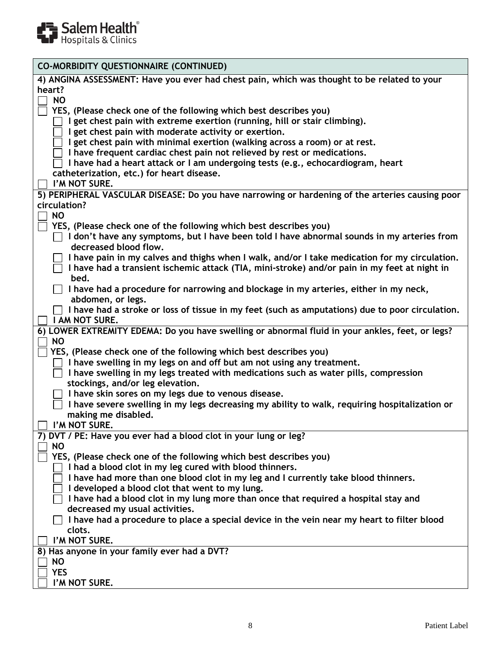

| <b>CO-MORBIDITY QUESTIONNAIRE (CONTINUED)</b>                                                   |
|-------------------------------------------------------------------------------------------------|
| 4) ANGINA ASSESSMENT: Have you ever had chest pain, which was thought to be related to your     |
| heart?                                                                                          |
| <b>NO</b>                                                                                       |
| YES, (Please check one of the following which best describes you)                               |
| get chest pain with extreme exertion (running, hill or stair climbing).                         |
| I get chest pain with moderate activity or exertion.                                            |
| I get chest pain with minimal exertion (walking across a room) or at rest.                      |
| I have frequent cardiac chest pain not relieved by rest or medications.                         |
| I have had a heart attack or I am undergoing tests (e.g., echocardiogram, heart                 |
|                                                                                                 |
| catheterization, etc.) for heart disease.                                                       |
| I'M NOT SURE.                                                                                   |
| 5) PERIPHERAL VASCULAR DISEASE: Do you have narrowing or hardening of the arteries causing poor |
| circulation?                                                                                    |
| <b>NO</b>                                                                                       |
| YES, (Please check one of the following which best describes you)                               |
| I don't have any symptoms, but I have been told I have abnormal sounds in my arteries from      |
| decreased blood flow.                                                                           |
| I have pain in my calves and thighs when I walk, and/or I take medication for my circulation.   |
| I have had a transient ischemic attack (TIA, mini-stroke) and/or pain in my feet at night in    |
|                                                                                                 |
| bed.                                                                                            |
| I have had a procedure for narrowing and blockage in my arteries, either in my neck,            |
| abdomen, or legs.                                                                               |
| I have had a stroke or loss of tissue in my feet (such as amputations) due to poor circulation. |
| I AM NOT SURE.                                                                                  |
| 6) LOWER EXTREMITY EDEMA: Do you have swelling or abnormal fluid in your ankles, feet, or legs? |
| <b>NO</b>                                                                                       |
| YES, (Please check one of the following which best describes you)                               |
| I have swelling in my legs on and off but am not using any treatment.                           |
| I have swelling in my legs treated with medications such as water pills, compression            |
| stockings, and/or leg elevation.                                                                |
|                                                                                                 |
| I have skin sores on my legs due to venous disease.                                             |
| I have severe swelling in my legs decreasing my ability to walk, requiring hospitalization or   |
| making me disabled.                                                                             |
| $\Box$ I'M NOT SURE.                                                                            |
| 7) DVT / PE: Have you ever had a blood clot in your lung or leg?                                |
| <b>NO</b>                                                                                       |
| YES, (Please check one of the following which best describes you)                               |
| I had a blood clot in my leg cured with blood thinners.                                         |
| I have had more than one blood clot in my leg and I currently take blood thinners.              |
| I developed a blood clot that went to my lung.                                                  |
| I have had a blood clot in my lung more than once that required a hospital stay and             |
|                                                                                                 |
| decreased my usual activities.                                                                  |
| I have had a procedure to place a special device in the vein near my heart to filter blood      |
| clots.                                                                                          |
| I'M NOT SURE.                                                                                   |
| 8) Has anyone in your family ever had a DVT?                                                    |
| <b>NO</b>                                                                                       |
| <b>YES</b>                                                                                      |
| I'M NOT SURE.                                                                                   |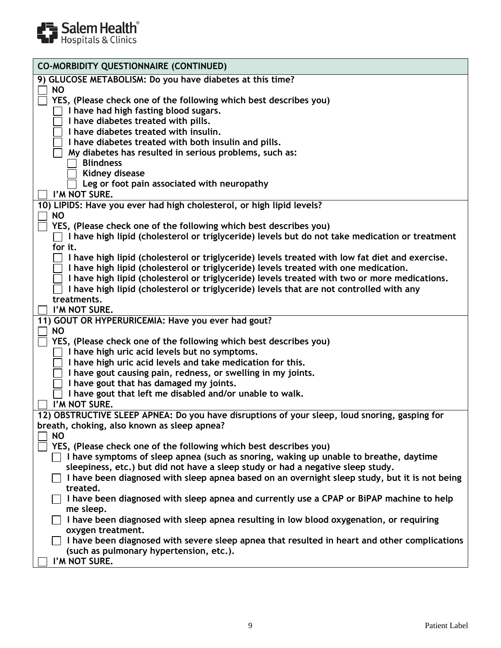

| <b>CO-MORBIDITY QUESTIONNAIRE (CONTINUED)</b>                                                              |
|------------------------------------------------------------------------------------------------------------|
| 9) GLUCOSE METABOLISM: Do you have diabetes at this time?                                                  |
| <b>NO</b>                                                                                                  |
| YES, (Please check one of the following which best describes you)<br>I have had high fasting blood sugars. |
| I have diabetes treated with pills.                                                                        |
| I have diabetes treated with insulin.                                                                      |
| I have diabetes treated with both insulin and pills.                                                       |
| My diabetes has resulted in serious problems, such as:                                                     |
| <b>Blindness</b>                                                                                           |
| Kidney disease                                                                                             |
| Leg or foot pain associated with neuropathy                                                                |
| I'M NOT SURE.<br>10) LIPIDS: Have you ever had high cholesterol, or high lipid levels?                     |
| <b>NO</b>                                                                                                  |
| YES, (Please check one of the following which best describes you)                                          |
| I have high lipid (cholesterol or triglyceride) levels but do not take medication or treatment             |
| for it.                                                                                                    |
| I have high lipid (cholesterol or triglyceride) levels treated with low fat diet and exercise.             |
| I have high lipid (cholesterol or triglyceride) levels treated with one medication.                        |
| I have high lipid (cholesterol or triglyceride) levels treated with two or more medications.               |
| I have high lipid (cholesterol or triglyceride) levels that are not controlled with any<br>treatments.     |
| I'M NOT SURE.                                                                                              |
| 11) GOUT OR HYPERURICEMIA: Have you ever had gout?                                                         |
| <b>NO</b>                                                                                                  |
| YES, (Please check one of the following which best describes you)                                          |
| I have high uric acid levels but no symptoms.                                                              |
| I have high uric acid levels and take medication for this.                                                 |
| I have gout causing pain, redness, or swelling in my joints.                                               |
| I have gout that has damaged my joints.                                                                    |
| I have gout that left me disabled and/or unable to walk.<br>I'M NOT SURE.                                  |
| 12) OBSTRUCTIVE SLEEP APNEA: Do you have disruptions of your sleep, loud snoring, gasping for              |
| breath, choking, also known as sleep apnea?                                                                |
| NO.                                                                                                        |
| YES, (Please check one of the following which best describes you)                                          |
| I have symptoms of sleep apnea (such as snoring, waking up unable to breathe, daytime                      |
| sleepiness, etc.) but did not have a sleep study or had a negative sleep study.                            |
| I have been diagnosed with sleep apnea based on an overnight sleep study, but it is not being              |
| treated.                                                                                                   |
| I have been diagnosed with sleep apnea and currently use a CPAP or BiPAP machine to help<br>me sleep.      |
| I have been diagnosed with sleep apnea resulting in low blood oxygenation, or requiring                    |
| oxygen treatment.                                                                                          |
| I have been diagnosed with severe sleep apnea that resulted in heart and other complications               |
| (such as pulmonary hypertension, etc.).                                                                    |
| I'M NOT SURE.                                                                                              |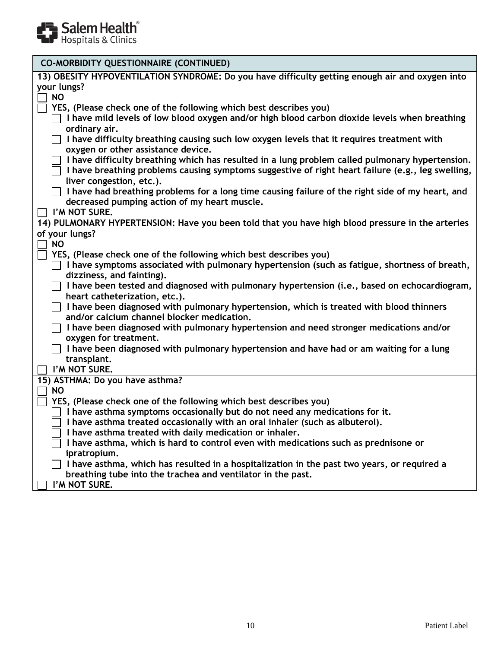

| <b>CO-MORBIDITY QUESTIONNAIRE (CONTINUED)</b>                                                                                                                                                                                    |
|----------------------------------------------------------------------------------------------------------------------------------------------------------------------------------------------------------------------------------|
| 13) OBESITY HYPOVENTILATION SYNDROME: Do you have difficulty getting enough air and oxygen into<br>your lungs?<br><b>NO</b>                                                                                                      |
| YES, (Please check one of the following which best describes you)<br>I have mild levels of low blood oxygen and/or high blood carbon dioxide levels when breathing<br>ordinary air.                                              |
| I have difficulty breathing causing such low oxygen levels that it requires treatment with<br>oxygen or other assistance device.                                                                                                 |
| I have difficulty breathing which has resulted in a lung problem called pulmonary hypertension.<br>I have breathing problems causing symptoms suggestive of right heart failure (e.g., leg swelling,<br>liver congestion, etc.). |
| $\Box$ I have had breathing problems for a long time causing failure of the right side of my heart, and<br>decreased pumping action of my heart muscle.<br>I'M NOT SURE.                                                         |
| 14) PULMONARY HYPERTENSION: Have you been told that you have high blood pressure in the arteries                                                                                                                                 |
| of your lungs?                                                                                                                                                                                                                   |
| <b>NO</b>                                                                                                                                                                                                                        |
| YES, (Please check one of the following which best describes you)                                                                                                                                                                |
| $\Box$ I have symptoms associated with pulmonary hypertension (such as fatigue, shortness of breath,                                                                                                                             |
| dizziness, and fainting).                                                                                                                                                                                                        |
| $\Box$ I have been tested and diagnosed with pulmonary hypertension (i.e., based on echocardiogram,<br>heart catheterization, etc.).                                                                                             |
| I have been diagnosed with pulmonary hypertension, which is treated with blood thinners<br>$\perp$<br>and/or calcium channel blocker medication.                                                                                 |
| $\Box$ I have been diagnosed with pulmonary hypertension and need stronger medications and/or<br>oxygen for treatment.                                                                                                           |
| I have been diagnosed with pulmonary hypertension and have had or am waiting for a lung                                                                                                                                          |
| transplant.<br>I'M NOT SURE.                                                                                                                                                                                                     |
| 15) ASTHMA: Do you have asthma?                                                                                                                                                                                                  |
| <b>NO</b>                                                                                                                                                                                                                        |
| YES, (Please check one of the following which best describes you)                                                                                                                                                                |
| I have asthma symptoms occasionally but do not need any medications for it.                                                                                                                                                      |
| I have asthma treated occasionally with an oral inhaler (such as albuterol).                                                                                                                                                     |
| I have asthma treated with daily medication or inhaler.                                                                                                                                                                          |
| I have asthma, which is hard to control even with medications such as prednisone or<br>ipratropium.                                                                                                                              |
| I have asthma, which has resulted in a hospitalization in the past two years, or required a<br>breathing tube into the trachea and ventilator in the past.                                                                       |
| I'M NOT SURE.                                                                                                                                                                                                                    |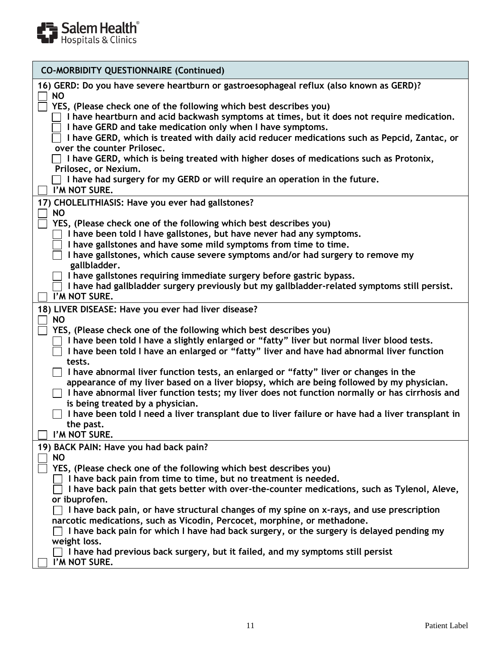

| <b>CO-MORBIDITY QUESTIONNAIRE (Continued)</b>                                                                                                                                     |
|-----------------------------------------------------------------------------------------------------------------------------------------------------------------------------------|
|                                                                                                                                                                                   |
| 16) GERD: Do you have severe heartburn or gastroesophageal reflux (also known as GERD)?<br><b>NO</b>                                                                              |
| YES, (Please check one of the following which best describes you)                                                                                                                 |
| I have heartburn and acid backwash symptoms at times, but it does not require medication.                                                                                         |
| I have GERD and take medication only when I have symptoms.<br>I have GERD, which is treated with daily acid reducer medications such as Pepcid, Zantac, or                        |
| over the counter Prilosec.                                                                                                                                                        |
| $\Box$ I have GERD, which is being treated with higher doses of medications such as Protonix,                                                                                     |
| Prilosec, or Nexium.                                                                                                                                                              |
| $\Box$ I have had surgery for my GERD or will require an operation in the future.                                                                                                 |
| I'M NOT SURE.                                                                                                                                                                     |
| 17) CHOLELITHIASIS: Have you ever had gallstones?                                                                                                                                 |
| <b>NO</b><br>YES, (Please check one of the following which best describes you)                                                                                                    |
| I have been told I have gallstones, but have never had any symptoms.                                                                                                              |
| I have gallstones and have some mild symptoms from time to time.                                                                                                                  |
| I have gallstones, which cause severe symptoms and/or had surgery to remove my                                                                                                    |
| gallbladder.                                                                                                                                                                      |
| I have gallstones requiring immediate surgery before gastric bypass.                                                                                                              |
| I have had gallbladder surgery previously but my gallbladder-related symptoms still persist.<br>I'M NOT SURE.                                                                     |
| 18) LIVER DISEASE: Have you ever had liver disease?                                                                                                                               |
| <b>NO</b>                                                                                                                                                                         |
| YES, (Please check one of the following which best describes you)                                                                                                                 |
| I have been told I have a slightly enlarged or "fatty" liver but normal liver blood tests.                                                                                        |
| I have been told I have an enlarged or "fatty" liver and have had abnormal liver function                                                                                         |
| tests.                                                                                                                                                                            |
| I have abnormal liver function tests, an enlarged or "fatty" liver or changes in the<br>appearance of my liver based on a liver biopsy, which are being followed by my physician. |
| I have abnormal liver function tests; my liver does not function normally or has cirrhosis and                                                                                    |
| is being treated by a physician.                                                                                                                                                  |
| I have been told I need a liver transplant due to liver failure or have had a liver transplant in                                                                                 |
| the past.                                                                                                                                                                         |
| I'M NOT SURE.                                                                                                                                                                     |
| 19) BACK PAIN: Have you had back pain?                                                                                                                                            |
| <b>NO</b><br>YES, (Please check one of the following which best describes you)                                                                                                    |
| I have back pain from time to time, but no treatment is needed.                                                                                                                   |
| I have back pain that gets better with over-the-counter medications, such as Tylenol, Aleve,                                                                                      |
| or ibuprofen.                                                                                                                                                                     |
| I have back pain, or have structural changes of my spine on x-rays, and use prescription                                                                                          |
| narcotic medications, such as Vicodin, Percocet, morphine, or methadone.                                                                                                          |
| I have back pain for which I have had back surgery, or the surgery is delayed pending my<br>weight loss.                                                                          |
| I have had previous back surgery, but it failed, and my symptoms still persist                                                                                                    |
| I'M NOT SURE.                                                                                                                                                                     |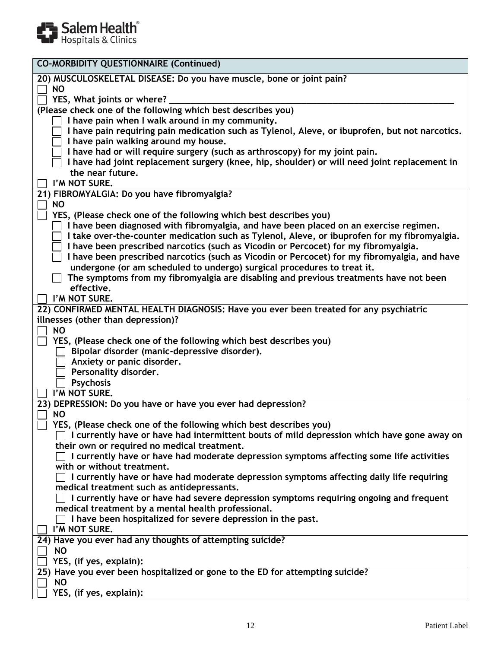

| <b>CO-MORBIDITY QUESTIONNAIRE (Continued)</b>                                                                                                                                       |
|-------------------------------------------------------------------------------------------------------------------------------------------------------------------------------------|
| 20) MUSCULOSKELETAL DISEASE: Do you have muscle, bone or joint pain?                                                                                                                |
| <b>NO</b>                                                                                                                                                                           |
| YES, What joints or where?                                                                                                                                                          |
| (Please check one of the following which best describes you)                                                                                                                        |
| I have pain when I walk around in my community.<br>I have pain requiring pain medication such as Tylenol, Aleve, or ibuprofen, but not narcotics.                                   |
| I have pain walking around my house.                                                                                                                                                |
| I have had or will require surgery (such as arthroscopy) for my joint pain.                                                                                                         |
| I have had joint replacement surgery (knee, hip, shoulder) or will need joint replacement in                                                                                        |
| the near future.                                                                                                                                                                    |
| I'M NOT SURE.                                                                                                                                                                       |
| 21) FIBROMYALGIA: Do you have fibromyalgia?                                                                                                                                         |
| <b>NO</b>                                                                                                                                                                           |
| YES, (Please check one of the following which best describes you)                                                                                                                   |
| I have been diagnosed with fibromyalgia, and have been placed on an exercise regimen.                                                                                               |
| I take over-the-counter medication such as Tylenol, Aleve, or ibuprofen for my fibromyalgia.<br>I have been prescribed narcotics (such as Vicodin or Percocet) for my fibromyalgia. |
| I have been prescribed narcotics (such as Vicodin or Percocet) for my fibromyalgia, and have                                                                                        |
| undergone (or am scheduled to undergo) surgical procedures to treat it.                                                                                                             |
| The symptoms from my fibromyalgia are disabling and previous treatments have not been                                                                                               |
| effective.                                                                                                                                                                          |
| I'M NOT SURE.                                                                                                                                                                       |
| 22) CONFIRMED MENTAL HEALTH DIAGNOSIS: Have you ever been treated for any psychiatric                                                                                               |
| illnesses (other than depression)?                                                                                                                                                  |
| <b>NO</b>                                                                                                                                                                           |
| YES, (Please check one of the following which best describes you)                                                                                                                   |
| Bipolar disorder (manic-depressive disorder).<br>Anxiety or panic disorder.                                                                                                         |
| Personality disorder.                                                                                                                                                               |
| <b>Psychosis</b>                                                                                                                                                                    |
| I'M NOT SURE.                                                                                                                                                                       |
| 23) DEPRESSION: Do you have or have you ever had depression?                                                                                                                        |
| <b>NO</b>                                                                                                                                                                           |
| YES, (Please check one of the following which best describes you)                                                                                                                   |
| I currently have or have had intermittent bouts of mild depression which have gone away on                                                                                          |
| their own or required no medical treatment.                                                                                                                                         |
| I currently have or have had moderate depression symptoms affecting some life activities                                                                                            |
| with or without treatment.<br>I currently have or have had moderate depression symptoms affecting daily life requiring                                                              |
| medical treatment such as antidepressants.                                                                                                                                          |
| I currently have or have had severe depression symptoms requiring ongoing and frequent                                                                                              |
| medical treatment by a mental health professional.                                                                                                                                  |
| I have been hospitalized for severe depression in the past.                                                                                                                         |
| I'M NOT SURE.                                                                                                                                                                       |
| 24) Have you ever had any thoughts of attempting suicide?                                                                                                                           |
| <b>NO</b>                                                                                                                                                                           |
| YES, (if yes, explain):                                                                                                                                                             |
| 25) Have you ever been hospitalized or gone to the ED for attempting suicide?                                                                                                       |
| <b>NO</b><br>YES, (if yes, explain):                                                                                                                                                |
|                                                                                                                                                                                     |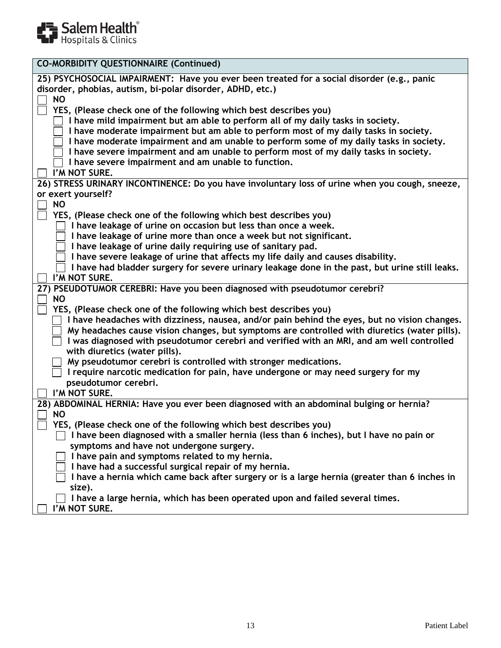

| <b>CO-MORBIDITY QUESTIONNAIRE (Continued)</b>                                                                                                                        |
|----------------------------------------------------------------------------------------------------------------------------------------------------------------------|
| 25) PSYCHOSOCIAL IMPAIRMENT: Have you ever been treated for a social disorder (e.g., panic<br>disorder, phobias, autism, bi-polar disorder, ADHD, etc.)<br><b>NO</b> |
| YES, (Please check one of the following which best describes you)                                                                                                    |
| I have mild impairment but am able to perform all of my daily tasks in society.                                                                                      |
| I have moderate impairment but am able to perform most of my daily tasks in society.                                                                                 |
| I have moderate impairment and am unable to perform some of my daily tasks in society.                                                                               |
| I have severe impairment and am unable to perform most of my daily tasks in society.                                                                                 |
| I have severe impairment and am unable to function.                                                                                                                  |
| I'M NOT SURE.                                                                                                                                                        |
| 26) STRESS URINARY INCONTINENCE: Do you have involuntary loss of urine when you cough, sneeze,                                                                       |
| or exert yourself?                                                                                                                                                   |
| <b>NO</b>                                                                                                                                                            |
| YES, (Please check one of the following which best describes you)<br>I have leakage of urine on occasion but less than once a week.                                  |
| I have leakage of urine more than once a week but not significant.                                                                                                   |
| I have leakage of urine daily requiring use of sanitary pad.                                                                                                         |
| I have severe leakage of urine that affects my life daily and causes disability.                                                                                     |
| I have had bladder surgery for severe urinary leakage done in the past, but urine still leaks.                                                                       |
| I'M NOT SURE.                                                                                                                                                        |
| 27) PSEUDOTUMOR CEREBRI: Have you been diagnosed with pseudotumor cerebri?                                                                                           |
| <b>NO</b>                                                                                                                                                            |
| YES, (Please check one of the following which best describes you)                                                                                                    |
| I have headaches with dizziness, nausea, and/or pain behind the eyes, but no vision changes.                                                                         |
| My headaches cause vision changes, but symptoms are controlled with diuretics (water pills).                                                                         |
| I was diagnosed with pseudotumor cerebri and verified with an MRI, and am well controlled                                                                            |
| with diuretics (water pills).                                                                                                                                        |
| My pseudotumor cerebri is controlled with stronger medications.                                                                                                      |
| I require narcotic medication for pain, have undergone or may need surgery for my                                                                                    |
| pseudotumor cerebri.                                                                                                                                                 |
| I'M NOT SURE.                                                                                                                                                        |
| 28) ABDOMINAL HERNIA: Have you ever been diagnosed with an abdominal bulging or hernia?                                                                              |
| <b>NO</b>                                                                                                                                                            |
| YES, (Please check one of the following which best describes you)                                                                                                    |
| I have been diagnosed with a smaller hernia (less than 6 inches), but I have no pain or                                                                              |
| symptoms and have not undergone surgery.                                                                                                                             |
| I have pain and symptoms related to my hernia.                                                                                                                       |
| I have had a successful surgical repair of my hernia.<br>I have a hernia which came back after surgery or is a large hernia (greater than 6 inches in                |
| size).                                                                                                                                                               |
| I have a large hernia, which has been operated upon and failed several times.                                                                                        |
| I'M NOT SURE.                                                                                                                                                        |
|                                                                                                                                                                      |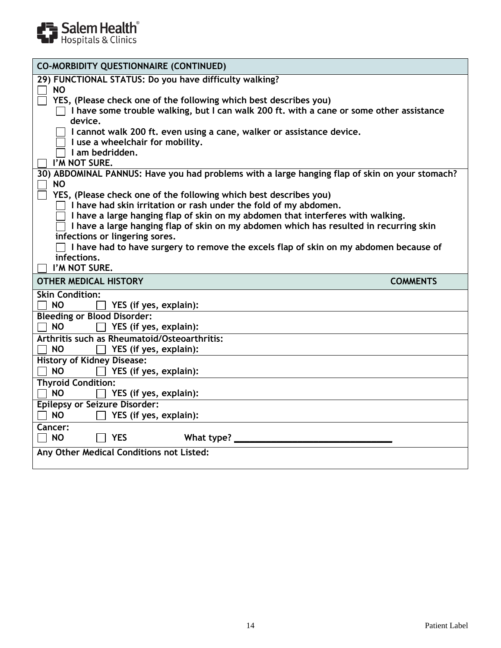

| <b>CO-MORBIDITY QUESTIONNAIRE (CONTINUED)</b>                                                                                                                            |
|--------------------------------------------------------------------------------------------------------------------------------------------------------------------------|
| 29) FUNCTIONAL STATUS: Do you have difficulty walking?<br><b>NO</b>                                                                                                      |
| YES, (Please check one of the following which best describes you)<br>I have some trouble walking, but I can walk 200 ft. with a cane or some other assistance<br>device. |
| I cannot walk 200 ft. even using a cane, walker or assistance device.<br>I use a wheelchair for mobility.<br>I am bedridden.                                             |
| I'M NOT SURE.                                                                                                                                                            |
| 30) ABDOMINAL PANNUS: Have you had problems with a large hanging flap of skin on your stomach?<br><b>NO</b>                                                              |
| YES, (Please check one of the following which best describes you)                                                                                                        |
| I have had skin irritation or rash under the fold of my abdomen.                                                                                                         |
| I have a large hanging flap of skin on my abdomen that interferes with walking.                                                                                          |
| I have a large hanging flap of skin on my abdomen which has resulted in recurring skin                                                                                   |
| infections or lingering sores.                                                                                                                                           |
| I have had to have surgery to remove the excels flap of skin on my abdomen because of                                                                                    |
| infections.                                                                                                                                                              |
| I'M NOT SURE.                                                                                                                                                            |
| <b>OTHER MEDICAL HISTORY</b><br><b>COMMENTS</b>                                                                                                                          |
| <b>Skin Condition:</b>                                                                                                                                                   |
| <b>NO</b><br>YES (if yes, explain):                                                                                                                                      |
| <b>Bleeding or Blood Disorder:</b>                                                                                                                                       |
| <b>NO</b><br>YES (if yes, explain):                                                                                                                                      |
| <b>Arthritis such as Rheumatoid/Osteoarthritis:</b>                                                                                                                      |
| YES (if yes, explain):<br><b>NO</b>                                                                                                                                      |
| <b>History of Kidney Disease:</b>                                                                                                                                        |
| <b>NO</b><br>YES (if yes, explain):                                                                                                                                      |
| <b>Thyroid Condition:</b>                                                                                                                                                |
| <b>NO</b><br>YES (if yes, explain):                                                                                                                                      |
| <b>Epilepsy or Seizure Disorder:</b>                                                                                                                                     |
| <b>NO</b><br>YES (if yes, explain):                                                                                                                                      |
| <b>Cancer:</b>                                                                                                                                                           |
| <b>NO</b><br><b>YES</b><br>What type? _                                                                                                                                  |
| Any Other Medical Conditions not Listed:                                                                                                                                 |